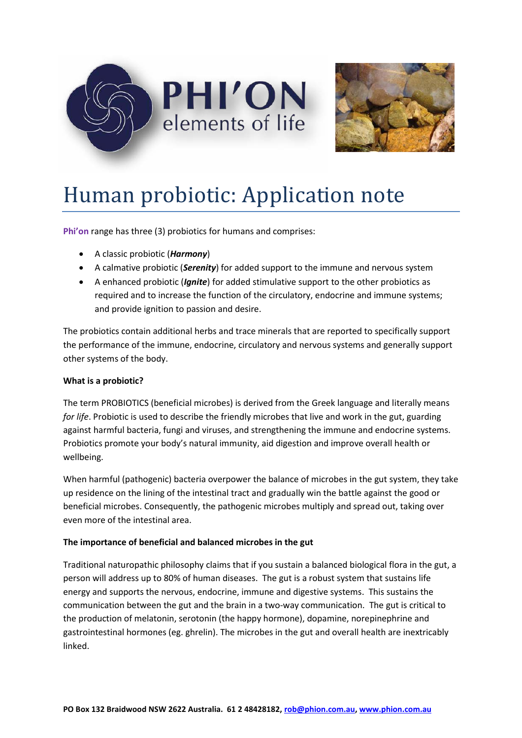



# Human probiotic: Application note

**Phi'on** range has three (3) probiotics for humans and comprises:

- A classic probiotic (*Harmony*)
- A calmative probiotic (*Serenity*) for added support to the immune and nervous system
- A enhanced probiotic (*Ignite*) for added stimulative support to the other probiotics as required and to increase the function of the circulatory, endocrine and immune systems; and provide ignition to passion and desire.

The probiotics contain additional herbs and trace minerals that are reported to specifically support the performance of the immune, endocrine, circulatory and nervous systems and generally support other systems of the body.

## **What is a probiotic?**

The term PROBIOTICS (beneficial microbes) is derived from the Greek language and literally means *for life*. Probiotic is used to describe the friendly microbes that live and work in the gut, guarding against harmful bacteria, fungi and viruses, and strengthening the immune and endocrine systems. Probiotics promote your body's natural immunity, aid digestion and improve overall health or wellbeing.

When harmful (pathogenic) bacteria overpower the balance of microbes in the gut system, they take up residence on the lining of the intestinal tract and gradually win the battle against the good or beneficial microbes. Consequently, the pathogenic microbes multiply and spread out, taking over even more of the intestinal area.

## **The importance of beneficial and balanced microbes in the gut**

Traditional naturopathic philosophy claims that if you sustain a balanced biological flora in the gut, a person will address up to 80% of human diseases. The gut is a robust system that sustains life energy and supports the nervous, endocrine, immune and digestive systems. This sustains the communication between the gut and the brain in a two-way communication. The gut is critical to the production of melatonin, serotonin (the happy hormone), dopamine, norepinephrine and gastrointestinal hormones (eg. ghrelin). The microbes in the gut and overall health are inextricably linked.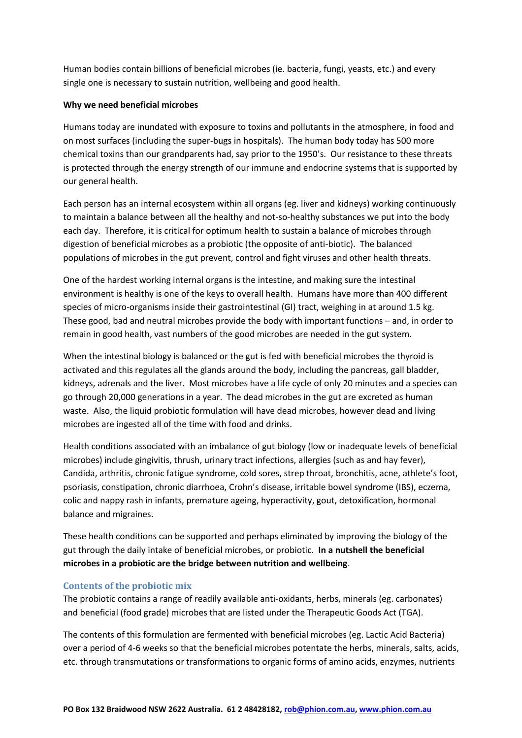Human bodies contain billions of beneficial microbes (ie. bacteria, fungi, yeasts, etc.) and every single one is necessary to sustain nutrition, wellbeing and good health.

## **Why we need beneficial microbes**

Humans today are inundated with exposure to toxins and pollutants in the atmosphere, in food and on most surfaces (including the super-bugs in hospitals). The human body today has 500 more chemical toxins than our grandparents had, say prior to the 1950's. Our resistance to these threats is protected through the energy strength of our immune and endocrine systems that is supported by our general health.

Each person has an internal ecosystem within all organs (eg. liver and kidneys) working continuously to maintain a balance between all the healthy and not-so-healthy substances we put into the body each day. Therefore, it is critical for optimum health to sustain a balance of microbes through digestion of beneficial microbes as a probiotic (the opposite of anti-biotic). The balanced populations of microbes in the gut prevent, control and fight viruses and other health threats.

One of the hardest working internal organs is the intestine, and making sure the intestinal environment is healthy is one of the keys to overall health. Humans have more than 400 different species of micro-organisms inside their gastrointestinal (GI) tract, weighing in at around 1.5 kg. These good, bad and neutral microbes provide the body with important functions – and, in order to remain in good health, vast numbers of the good microbes are needed in the gut system.

When the intestinal biology is balanced or the gut is fed with beneficial microbes the thyroid is activated and this regulates all the glands around the body, including the pancreas, gall bladder, kidneys, adrenals and the liver. Most microbes have a life cycle of only 20 minutes and a species can go through 20,000 generations in a year. The dead microbes in the gut are excreted as human waste. Also, the liquid probiotic formulation will have dead microbes, however dead and living microbes are ingested all of the time with food and drinks.

Health conditions associated with an imbalance of gut biology (low or inadequate levels of beneficial microbes) include gingivitis, thrush, urinary tract infections, allergies (such as and hay fever), Candida, arthritis, chronic fatigue syndrome, cold sores, strep throat, bronchitis, acne, athlete's foot, psoriasis, constipation, chronic diarrhoea, Crohn's disease, irritable bowel syndrome (IBS), eczema, colic and nappy rash in infants, premature ageing, hyperactivity, gout, detoxification, hormonal balance and migraines.

These health conditions can be supported and perhaps eliminated by improving the biology of the gut through the daily intake of beneficial microbes, or probiotic. **In a nutshell the beneficial microbes in a probiotic are the bridge between nutrition and wellbeing**.

## **Contents of the probiotic mix**

The probiotic contains a range of readily available anti-oxidants, herbs, minerals (eg. carbonates) and beneficial (food grade) microbes that are listed under the Therapeutic Goods Act (TGA).

The contents of this formulation are fermented with beneficial microbes (eg. Lactic Acid Bacteria) over a period of 4-6 weeks so that the beneficial microbes potentate the herbs, minerals, salts, acids, etc. through transmutations or transformations to organic forms of amino acids, enzymes, nutrients